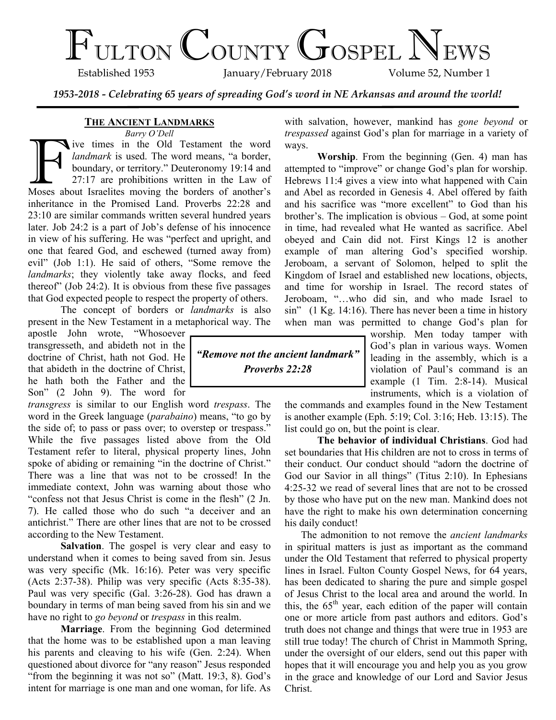# $\Gamma_{\text{ULTON}}$  COUNTY GOSPEL NEWS

January/February 2018

*1953-2018 - Celebrating 65 years of spreading God's word in NE Arkansas and around the world!*

## **THE ANCIENT LANDMARKS**

*Barry O'Dell*

Barry O Dell<br>Islam Testament the word<br>Indianark is used. The word means, "a border,<br>boundary, or territory." Deuteronomy 19:14 and<br>27:17 are prohibitions written in the Law of<br>Moses about Israelites moving the borders of a ive times in the Old Testament the word *landmark* is used. The word means, "a border, boundary, or territory." Deuteronomy 19:14 and 27:17 are prohibitions written in the Law of inheritance in the Promised Land. Proverbs 22:28 and 23:10 are similar commands written several hundred years later. Job 24:2 is a part of Job's defense of his innocence in view of his suffering. He was "perfect and upright, and one that feared God, and eschewed (turned away from) evil" (Job 1:1). He said of others, "Some remove the *landmarks*; they violently take away flocks, and feed thereof" (Job 24:2). It is obvious from these five passages that God expected people to respect the property of others.

The concept of borders or *landmarks* is also present in the New Testament in a metaphorical way. The

apostle John wrote, "Whosoever transgresseth, and abideth not in the doctrine of Christ, hath not God. He that abideth in the doctrine of Christ, he hath both the Father and the Son" (2 John 9). The word for

*transgress* is similar to our English word *trespass*. The word in the Greek language (*parabaino*) means, "to go by the side of; to pass or pass over; to overstep or trespass." While the five passages listed above from the Old Testament refer to literal, physical property lines, John spoke of abiding or remaining "in the doctrine of Christ." There was a line that was not to be crossed! In the immediate context, John was warning about those who "confess not that Jesus Christ is come in the flesh" (2 Jn. 7). He called those who do such "a deceiver and an antichrist." There are other lines that are not to be crossed according to the New Testament.

**Salvation**. The gospel is very clear and easy to understand when it comes to being saved from sin. Jesus was very specific (Mk. 16:16). Peter was very specific (Acts 2:37-38). Philip was very specific (Acts 8:35-38). Paul was very specific (Gal. 3:26-28). God has drawn a boundary in terms of man being saved from his sin and we have no right to *go beyond* or *trespass* in this realm.

**Marriage**. From the beginning God determined that the home was to be established upon a man leaving his parents and cleaving to his wife (Gen. 2:24). When questioned about divorce for "any reason" Jesus responded "from the beginning it was not so" (Matt. 19:3, 8). God's intent for marriage is one man and one woman, for life. As



with salvation, however, mankind has *gone beyond* or *trespassed* against God's plan for marriage in a variety of ways.

**Worship**. From the beginning (Gen. 4) man has attempted to "improve" or change God's plan for worship. Hebrews 11:4 gives a view into what happened with Cain and Abel as recorded in Genesis 4. Abel offered by faith and his sacrifice was "more excellent" to God than his brother's. The implication is obvious – God, at some point in time, had revealed what He wanted as sacrifice. Abel obeyed and Cain did not. First Kings 12 is another example of man altering God's specified worship. Jeroboam, a servant of Solomon, helped to split the Kingdom of Israel and established new locations, objects, and time for worship in Israel. The record states of Jeroboam, "…who did sin, and who made Israel to sin" (1 Kg. 14:16). There has never been a time in history when man was permitted to change God's plan for

> worship. Men today tamper with God's plan in various ways. Women leading in the assembly, which is a violation of Paul's command is an example (1 Tim. 2:8-14). Musical instruments, which is a violation of

the commands and examples found in the New Testament is another example (Eph. 5:19; Col. 3:16; Heb. 13:15). The list could go on, but the point is clear.

**The behavior of individual Christians**. God had set boundaries that His children are not to cross in terms of their conduct. Our conduct should "adorn the doctrine of God our Savior in all things" (Titus 2:10). In Ephesians 4:25-32 we read of several lines that are not to be crossed by those who have put on the new man. Mankind does not have the right to make his own determination concerning his daily conduct!

The admonition to not remove the *ancient landmarks* in spiritual matters is just as important as the command under the Old Testament that referred to physical property lines in Israel. Fulton County Gospel News, for 64 years, has been dedicated to sharing the pure and simple gospel of Jesus Christ to the local area and around the world. In this, the  $65<sup>th</sup>$  year, each edition of the paper will contain one or more article from past authors and editors. God's truth does not change and things that were true in 1953 are still true today! The church of Christ in Mammoth Spring, under the oversight of our elders, send out this paper with hopes that it will encourage you and help you as you grow in the grace and knowledge of our Lord and Savior Jesus Christ.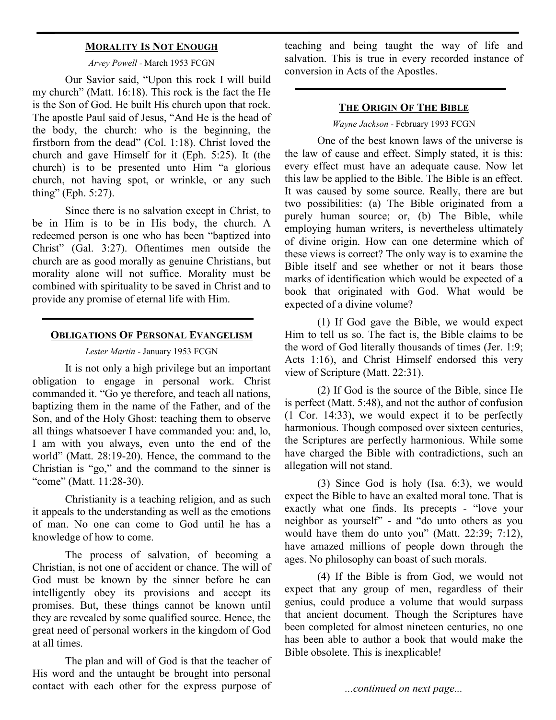## **MORALITY IS NOT ENOUGH**

#### *Arvey Powell -* March 1953 FCGN

Our Savior said, "Upon this rock I will build my church" (Matt. 16:18). This rock is the fact the He is the Son of God. He built His church upon that rock. The apostle Paul said of Jesus, "And He is the head of the body, the church: who is the beginning, the firstborn from the dead" (Col. 1:18). Christ loved the church and gave Himself for it (Eph. 5:25). It (the church) is to be presented unto Him "a glorious church, not having spot, or wrinkle, or any such thing" (Eph. 5:27).

Since there is no salvation except in Christ, to be in Him is to be in His body, the church. A redeemed person is one who has been "baptized into Christ" (Gal. 3:27). Oftentimes men outside the church are as good morally as genuine Christians, but morality alone will not suffice. Morality must be combined with spirituality to be saved in Christ and to provide any promise of eternal life with Him.

#### **OBLIGATIONS OF PERSONAL EVANGELISM**

## *Lester Martin -* January 1953 FCGN

It is not only a high privilege but an important obligation to engage in personal work. Christ commanded it. "Go ye therefore, and teach all nations, baptizing them in the name of the Father, and of the Son, and of the Holy Ghost: teaching them to observe all things whatsoever I have commanded you: and, lo, I am with you always, even unto the end of the world" (Matt. 28:19-20). Hence, the command to the Christian is "go," and the command to the sinner is "come" (Matt. 11:28-30).

Christianity is a teaching religion, and as such it appeals to the understanding as well as the emotions of man. No one can come to God until he has a knowledge of how to come.

The process of salvation, of becoming a Christian, is not one of accident or chance. The will of God must be known by the sinner before he can intelligently obey its provisions and accept its promises. But, these things cannot be known until they are revealed by some qualified source. Hence, the great need of personal workers in the kingdom of God at all times.

The plan and will of God is that the teacher of His word and the untaught be brought into personal contact with each other for the express purpose of teaching and being taught the way of life and salvation. This is true in every recorded instance of conversion in Acts of the Apostles.

#### **THE ORIGIN OF THE BIBLE**

*Wayne Jackson* - February 1993 FCGN

One of the best known laws of the universe is the law of cause and effect. Simply stated, it is this: every effect must have an adequate cause. Now let this law be applied to the Bible. The Bible is an effect. It was caused by some source. Really, there are but two possibilities: (a) The Bible originated from a purely human source; or, (b) The Bible, while employing human writers, is nevertheless ultimately of divine origin. How can one determine which of these views is correct? The only way is to examine the Bible itself and see whether or not it bears those marks of identification which would be expected of a book that originated with God. What would be expected of a divine volume?

(1) If God gave the Bible, we would expect Him to tell us so. The fact is, the Bible claims to be the word of God literally thousands of times (Jer. 1:9; Acts 1:16), and Christ Himself endorsed this very view of Scripture (Matt. 22:31).

(2) If God is the source of the Bible, since He is perfect (Matt. 5:48), and not the author of confusion (1 Cor. 14:33), we would expect it to be perfectly harmonious. Though composed over sixteen centuries, the Scriptures are perfectly harmonious. While some have charged the Bible with contradictions, such an allegation will not stand.

(3) Since God is holy (Isa. 6:3), we would expect the Bible to have an exalted moral tone. That is exactly what one finds. Its precepts - "love your neighbor as yourself" - and "do unto others as you would have them do unto you" (Matt. 22:39; 7:12), have amazed millions of people down through the ages. No philosophy can boast of such morals.

(4) If the Bible is from God, we would not expect that any group of men, regardless of their genius, could produce a volume that would surpass that ancient document. Though the Scriptures have been completed for almost nineteen centuries, no one has been able to author a book that would make the Bible obsolete. This is inexplicable!

*...continued on next page...*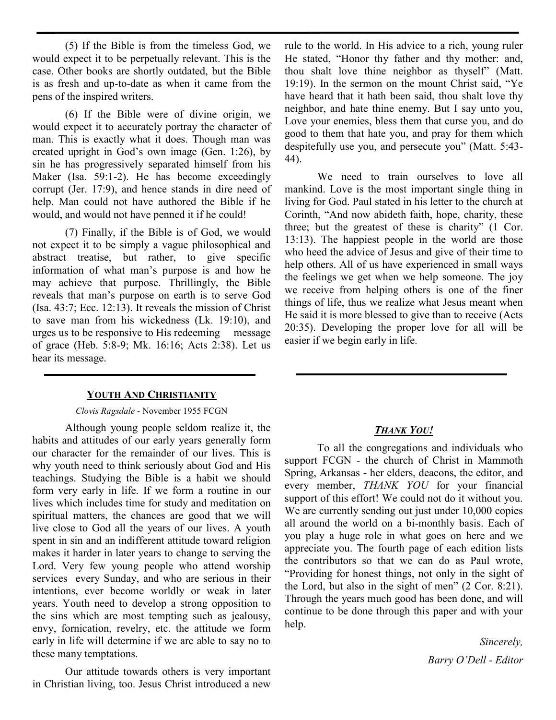(5) If the Bible is from the timeless God, we would expect it to be perpetually relevant. This is the case. Other books are shortly outdated, but the Bible is as fresh and up-to-date as when it came from the pens of the inspired writers.

(6) If the Bible were of divine origin, we would expect it to accurately portray the character of man. This is exactly what it does. Though man was created upright in God's own image (Gen. 1:26), by sin he has progressively separated himself from his Maker (Isa. 59:1-2). He has become exceedingly corrupt (Jer. 17:9), and hence stands in dire need of help. Man could not have authored the Bible if he would, and would not have penned it if he could!

(7) Finally, if the Bible is of God, we would not expect it to be simply a vague philosophical and abstract treatise, but rather, to give specific information of what man's purpose is and how he may achieve that purpose. Thrillingly, the Bible reveals that man's purpose on earth is to serve God (Isa. 43:7; Ecc. 12:13). It reveals the mission of Christ to save man from his wickedness (Lk. 19:10), and urges us to be responsive to His redeeming message of grace (Heb. 5:8-9; Mk. 16:16; Acts 2:38). Let us hear its message.

## **YOUTH AND CHRISTIANITY**

## *Clovis Ragsdale* - November 1955 FCGN

Although young people seldom realize it, the habits and attitudes of our early years generally form our character for the remainder of our lives. This is why youth need to think seriously about God and His teachings. Studying the Bible is a habit we should form very early in life. If we form a routine in our lives which includes time for study and meditation on spiritual matters, the chances are good that we will live close to God all the years of our lives. A youth spent in sin and an indifferent attitude toward religion makes it harder in later years to change to serving the Lord. Very few young people who attend worship services every Sunday, and who are serious in their intentions, ever become worldly or weak in later years. Youth need to develop a strong opposition to the sins which are most tempting such as jealousy, envy, fornication, revelry, etc. the attitude we form early in life will determine if we are able to say no to these many temptations.

Our attitude towards others is very important in Christian living, too. Jesus Christ introduced a new

rule to the world. In His advice to a rich, young ruler He stated, "Honor thy father and thy mother: and, thou shalt love thine neighbor as thyself" (Matt. 19:19). In the sermon on the mount Christ said, "Ye have heard that it hath been said, thou shalt love thy neighbor, and hate thine enemy. But I say unto you, Love your enemies, bless them that curse you, and do good to them that hate you, and pray for them which despitefully use you, and persecute you" (Matt. 5:43- 44).

We need to train ourselves to love all mankind. Love is the most important single thing in living for God. Paul stated in his letter to the church at Corinth, "And now abideth faith, hope, charity, these three; but the greatest of these is charity" (1 Cor. 13:13). The happiest people in the world are those who heed the advice of Jesus and give of their time to help others. All of us have experienced in small ways the feelings we get when we help someone. The joy we receive from helping others is one of the finer things of life, thus we realize what Jesus meant when He said it is more blessed to give than to receive (Acts 20:35). Developing the proper love for all will be easier if we begin early in life.

# *THANK YOU!*

To all the congregations and individuals who support FCGN - the church of Christ in Mammoth Spring, Arkansas - her elders, deacons, the editor, and every member, *THANK YOU* for your financial support of this effort! We could not do it without you. We are currently sending out just under 10,000 copies all around the world on a bi-monthly basis. Each of you play a huge role in what goes on here and we appreciate you. The fourth page of each edition lists the contributors so that we can do as Paul wrote, "Providing for honest things, not only in the sight of the Lord, but also in the sight of men" (2 Cor. 8:21). Through the years much good has been done, and will continue to be done through this paper and with your help.

> *Sincerely, Barry O'Dell - Editor*